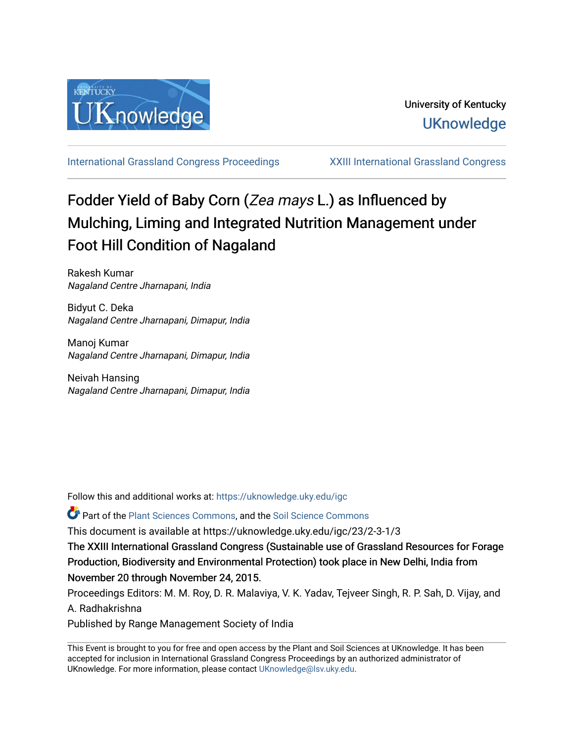

[International Grassland Congress Proceedings](https://uknowledge.uky.edu/igc) [XXIII International Grassland Congress](https://uknowledge.uky.edu/igc/23) 

# Fodder Yield of Baby Corn (Zea mays L.) as Influenced by Mulching, Liming and Integrated Nutrition Management under Foot Hill Condition of Nagaland

Rakesh Kumar Nagaland Centre Jharnapani, India

Bidyut C. Deka Nagaland Centre Jharnapani, Dimapur, India

Manoj Kumar Nagaland Centre Jharnapani, Dimapur, India

Neivah Hansing Nagaland Centre Jharnapani, Dimapur, India

Follow this and additional works at: [https://uknowledge.uky.edu/igc](https://uknowledge.uky.edu/igc?utm_source=uknowledge.uky.edu%2Figc%2F23%2F2-3-1%2F3&utm_medium=PDF&utm_campaign=PDFCoverPages) 

**P** Part of the [Plant Sciences Commons](http://network.bepress.com/hgg/discipline/102?utm_source=uknowledge.uky.edu%2Figc%2F23%2F2-3-1%2F3&utm_medium=PDF&utm_campaign=PDFCoverPages), and the Soil Science Commons

This document is available at https://uknowledge.uky.edu/igc/23/2-3-1/3

The XXIII International Grassland Congress (Sustainable use of Grassland Resources for Forage Production, Biodiversity and Environmental Protection) took place in New Delhi, India from November 20 through November 24, 2015.

Proceedings Editors: M. M. Roy, D. R. Malaviya, V. K. Yadav, Tejveer Singh, R. P. Sah, D. Vijay, and A. Radhakrishna

Published by Range Management Society of India

This Event is brought to you for free and open access by the Plant and Soil Sciences at UKnowledge. It has been accepted for inclusion in International Grassland Congress Proceedings by an authorized administrator of UKnowledge. For more information, please contact [UKnowledge@lsv.uky.edu](mailto:UKnowledge@lsv.uky.edu).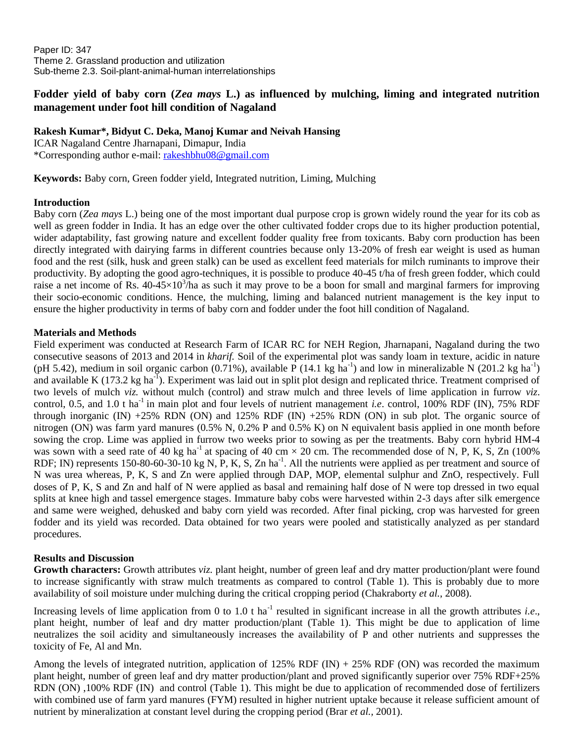Paper ID: 347 Theme 2. Grassland production and utilization Sub-theme 2.3. Soil-plant-animal-human interrelationships

# **Fodder yield of baby corn (***Zea mays* **L.) as influenced by mulching, liming and integrated nutrition management under foot hill condition of Nagaland**

**Rakesh Kumar\*, Bidyut C. Deka, Manoj Kumar and Neivah Hansing** ICAR Nagaland Centre Jharnapani, Dimapur, India

\*Corresponding author e-mail: [rakeshbhu08@gmail.com](mailto:rakeshbhu08@gmail.com)

**Keywords:** Baby corn, Green fodder yield, Integrated nutrition, Liming, Mulching

## **Introduction**

Baby corn (*Zea mays* L.) being one of the most important dual purpose crop is grown widely round the year for its cob as well as green fodder in India. It has an edge over the other cultivated fodder crops due to its higher production potential, wider adaptability, fast growing nature and excellent fodder quality free from toxicants. Baby corn production has been directly integrated with dairying farms in different countries because only 13-20% of fresh ear weight is used as human food and the rest (silk, husk and green stalk) can be used as excellent feed materials for milch ruminants to improve their productivity. By adopting the good agro-techniques, it is possible to produce 40-45 t/ha of fresh green fodder, which could raise a net income of Rs.  $40-45\times10^3$ /ha as such it may prove to be a boon for small and marginal farmers for improving their socio-economic conditions. Hence, the mulching, liming and balanced nutrient management is the key input to ensure the higher productivity in terms of baby corn and fodder under the foot hill condition of Nagaland.

## **Materials and Methods**

Field experiment was conducted at Research Farm of ICAR RC for NEH Region, Jharnapani, Nagaland during the two consecutive seasons of 2013 and 2014 in *kharif.* Soil of the experimental plot was sandy loam in texture, acidic in nature (pH 5.42), medium in soil organic carbon (0.71%), available  $\overline{P}$  (14.1 kg ha<sup>-1</sup>) and low in mineralizable N (201.2 kg ha<sup>-1</sup>) and available K (173.2 kg ha<sup>-1</sup>). Experiment was laid out in split plot design and replicated thrice. Treatment comprised of two levels of mulch *viz.* without mulch (control) and straw mulch and three levels of lime application in furrow *viz*. control, 0.5, and 1.0 t ha<sup>-1</sup> in main plot and four levels of nutrient management *i.e.* control, 100% RDF (IN), 75% RDF through inorganic (IN)  $+25\%$  RDN (ON) and 125% RDF (IN)  $+25\%$  RDN (ON) in sub plot. The organic source of nitrogen (ON) was farm yard manures (0.5% N, 0.2% P and 0.5% K) on N equivalent basis applied in one month before sowing the crop. Lime was applied in furrow two weeks prior to sowing as per the treatments. Baby corn hybrid HM-4 was sown with a seed rate of 40 kg ha<sup>-1</sup> at spacing of 40 cm  $\times$  20 cm. The recommended dose of N, P, K, S, Zn (100%) RDF; IN) represents 150-80-60-30-10 kg N, P, K, S, Zn ha<sup>-1</sup>. All the nutrients were applied as per treatment and source of N was urea whereas, P, K, S and Zn were applied through DAP, MOP, elemental sulphur and ZnO, respectively. Full doses of P, K, S and Zn and half of N were applied as basal and remaining half dose of N were top dressed in two equal splits at knee high and tassel emergence stages. Immature baby cobs were harvested within 2-3 days after silk emergence and same were weighed, dehusked and baby corn yield was recorded. After final picking, crop was harvested for green fodder and its yield was recorded. Data obtained for two years were pooled and statistically analyzed as per standard procedures.

# **Results and Discussion**

**Growth characters:** Growth attributes *viz.* plant height, number of green leaf and dry matter production/plant were found to increase significantly with straw mulch treatments as compared to control (Table 1). This is probably due to more availability of soil moisture under mulching during the critical cropping period (Chakraborty *et al.*, 2008).

Increasing levels of lime application from 0 to 1.0 t ha<sup>-1</sup> resulted in significant increase in all the growth attributes *i.e.*, plant height, number of leaf and dry matter production/plant (Table 1). This might be due to application of lime neutralizes the soil acidity and simultaneously increases the availability of P and other nutrients and suppresses the toxicity of Fe, Al and Mn.

Among the levels of integrated nutrition, application of  $125\%$  RDF (IN) + 25% RDF (ON) was recorded the maximum plant height, number of green leaf and dry matter production/plant and proved significantly superior over 75% RDF+25% RDN (ON) ,100% RDF (IN) and control (Table 1). This might be due to application of recommended dose of fertilizers with combined use of farm yard manures (FYM) resulted in higher nutrient uptake because it release sufficient amount of nutrient by mineralization at constant level during the cropping period (Brar *et al.,* 2001).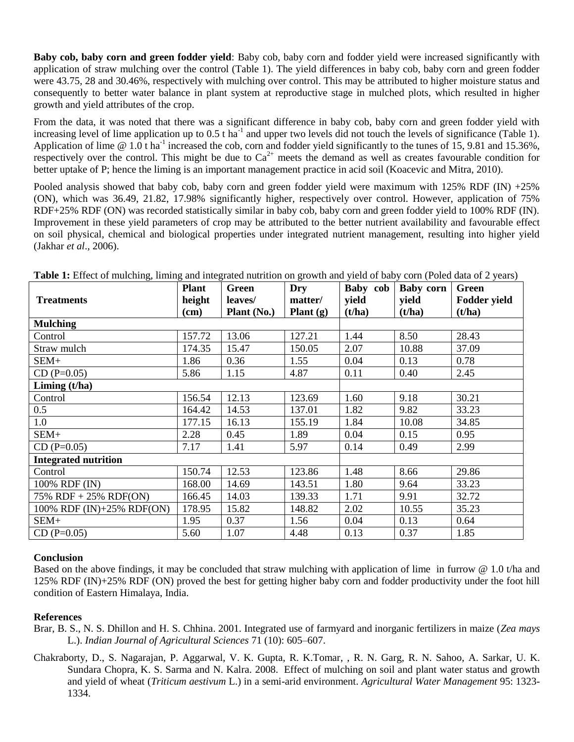**Baby cob, baby corn and green fodder yield**: Baby cob, baby corn and fodder yield were increased significantly with application of straw mulching over the control (Table 1). The yield differences in baby cob, baby corn and green fodder were 43.75, 28 and 30.46%, respectively with mulching over control. This may be attributed to higher moisture status and consequently to better water balance in plant system at reproductive stage in mulched plots, which resulted in higher growth and yield attributes of the crop.

From the data, it was noted that there was a significant difference in baby cob, baby corn and green fodder yield with increasing level of lime application up to  $0.5$  t ha<sup>-1</sup> and upper two levels did not touch the levels of significance (Table 1). Application of lime  $@ 1.0t$  ha<sup>-1</sup> increased the cob, corn and fodder yield significantly to the tunes of 15, 9.81 and 15.36%, respectively over the control. This might be due to  $Ca^{2+}$  meets the demand as well as creates favourable condition for better uptake of P; hence the liming is an important management practice in acid soil (Koacevic and Mitra, 2010).

Pooled analysis showed that baby cob, baby corn and green fodder yield were maximum with 125% RDF (IN) +25% (ON), which was 36.49, 21.82, 17.98% significantly higher, respectively over control. However, application of 75% RDF+25% RDF (ON) was recorded statistically similar in baby cob, baby corn and green fodder yield to 100% RDF (IN). Improvement in these yield parameters of crop may be attributed to the better nutrient availability and favourable effect on soil physical, chemical and biological properties under integrated nutrient management, resulting into higher yield (Jakhar *et al*., 2006).

| <b>Treatments</b>                   | <b>Plant</b><br>height<br>$(cm)$ | Green<br>leaves/<br><b>Plant</b> (No.) | Dry<br>matter/<br>Plant $(g)$ | Baby cob<br>yield<br>(t/ha) | Baby corn<br>yield<br>(t/ha) | <b>Green</b><br><b>Fodder yield</b><br>(t/ha) |
|-------------------------------------|----------------------------------|----------------------------------------|-------------------------------|-----------------------------|------------------------------|-----------------------------------------------|
| <b>Mulching</b>                     |                                  |                                        |                               |                             |                              |                                               |
| Control                             | 157.72                           | 13.06                                  | 127.21                        | 1.44                        | 8.50                         | 28.43                                         |
| Straw mulch                         | 174.35                           | 15.47                                  | 150.05                        | 2.07                        | 10.88                        | 37.09                                         |
| SEM+                                | 1.86                             | 0.36                                   | 1.55                          | 0.04                        | 0.13                         | 0.78                                          |
| $CD(P=0.05)$                        | 5.86                             | 1.15                                   | 4.87                          | 0.11                        | 0.40                         | 2.45                                          |
| Liming $(t/ha)$                     |                                  |                                        |                               |                             |                              |                                               |
| Control                             | 156.54                           | 12.13                                  | 123.69                        | 1.60                        | 9.18                         | 30.21                                         |
| 0.5                                 | 164.42                           | 14.53                                  | 137.01                        | 1.82                        | 9.82                         | 33.23                                         |
| 1.0                                 | 177.15                           | 16.13                                  | 155.19                        | 1.84                        | 10.08                        | 34.85                                         |
| SEM+                                | 2.28                             | 0.45                                   | 1.89                          | 0.04                        | 0.15                         | 0.95                                          |
| $CD (P=0.05)$                       | 7.17                             | 1.41                                   | 5.97                          | 0.14                        | 0.49                         | 2.99                                          |
| <b>Integrated nutrition</b>         |                                  |                                        |                               |                             |                              |                                               |
| Control                             | 150.74                           | 12.53                                  | 123.86                        | 1.48                        | 8.66                         | 29.86                                         |
| 100% RDF (IN)                       | 168.00                           | 14.69                                  | 143.51                        | 1.80                        | 9.64                         | 33.23                                         |
| $\overline{75\%}$ RDF + 25% RDF(ON) | 166.45                           | 14.03                                  | 139.33                        | 1.71                        | 9.91                         | 32.72                                         |
| 100% RDF (IN)+25% RDF(ON)           | 178.95                           | 15.82                                  | 148.82                        | 2.02                        | 10.55                        | 35.23                                         |
| SEM+                                | 1.95                             | 0.37                                   | 1.56                          | 0.04                        | 0.13                         | 0.64                                          |
| $CD(P=0.05)$                        | 5.60                             | 1.07                                   | 4.48                          | 0.13                        | 0.37                         | 1.85                                          |

**Table 1:** Effect of mulching, liming and integrated nutrition on growth and yield of baby corn (Poled data of 2 years)

#### **Conclusion**

Based on the above findings, it may be concluded that straw mulching with application of lime in furrow @ 1.0 t/ha and 125% RDF (IN)+25% RDF (ON) proved the best for getting higher baby corn and fodder productivity under the foot hill condition of Eastern Himalaya, India.

#### **References**

- Brar, B. S., N. S. Dhillon and H. S. Chhina. 2001. Integrated use of farmyard and inorganic fertilizers in maize (*Zea mays*  L.). *Indian Journal of Agricultural Sciences* 71 (10): 605–607.
- Chakraborty, D., S. Nagarajan, P. Aggarwal, V. K. Gupta, R. K.Tomar, , R. N. Garg, R. N. Sahoo, A. Sarkar, U. K. Sundara Chopra, K. S. Sarma and N. Kalra. 2008. Effect of mulching on soil and plant water status and growth and yield of wheat (*Triticum aestivum* L.) in a semi-arid environment. *Agricultural Water Management* 95: 1323- 1334.